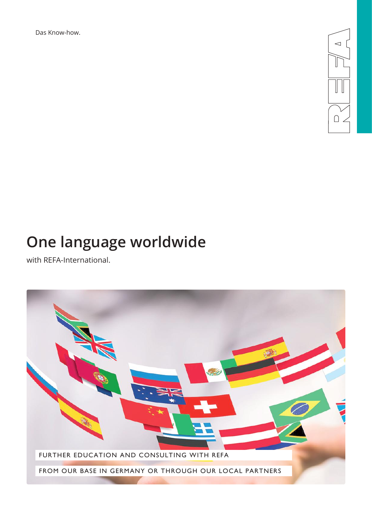Das Know-how.



# **One language worldwide**

with REFA-International.

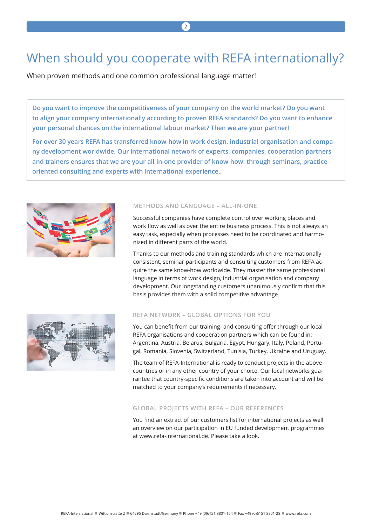# When should you cooperate with REFA internationally?

When proven methods and one common professional language matter!

**Do you want to improve the competitiveness of your company on the world market? Do you want to align your company internationally according to proven REFA standards? Do you want to enhance your personal chances on the international labour market? Then we are your partner!**

**For over 30 years REFA has transferred know-how in work design, industrial organisation and company development worldwide. Our international network of experts, companies, cooperation partners and trainers ensures that we are your all-in-one provider of know-how: through seminars, practiceoriented consulting and experts with international experience..** 



### **METHODS AND LANGUAGE – ALL-IN-ONE**

Successful companies have complete control over working places and work flow as well as over the entire business process. This is not always an easy task, especially when processes need to be coordinated and harmonized in different parts of the world.

Thanks to our methods and training standards which are internationally consistent, seminar participants and consulting customers from REFA acquire the same know-how worldwide. They master the same professional language in terms of work design, industrial organisation and company development. Our longstanding customers unanimously confirm that this basis provides them with a solid competitive advantage.



### **REFA NETWORK – GLOBAL OPTIONS FOR YOU**

You can benefit from our training- and consulting offer through our local REFA organisations and cooperation partners which can be found in: Argentina, Austria, Belarus, Bulgaria, Egypt, Hungary, Italy, Poland, Portugal, Romania, Slovenia, Switzerland, Tunisia, Turkey, Ukraine and Uruguay.

The team of REFA-International is ready to conduct projects in the above countries or in any other country of your choice. Our local networks guarantee that country-specific conditions are taken into account and will be matched to your company's requirements if necessary.

#### **GLOBAL PROJECTS WITH REFA – OUR REFERENCES**

You find an extract of our customers list for international projects as well an overview on our participation in EU funded development programmes at www.refa-international.de. Please take a look.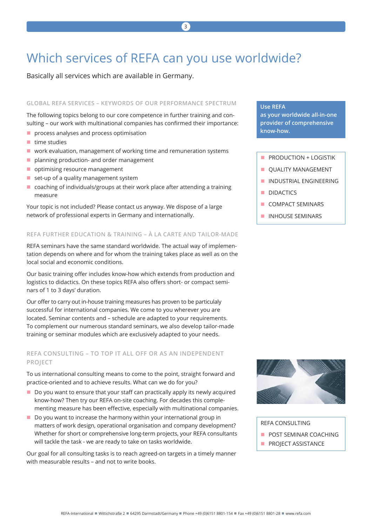# Which services of REFA can you use worldwide?

Basically all services which are available in Germany.

#### **GLOBAL REFA SERVICES – KEYWORDS OF OUR PERFORMANCE SPECTRUM**

The following topics belong to our core competence in further training and consulting – our work with multinational companies has confirmed their importance:

- **P** process analyses and process optimisation
- $\blacksquare$  time studies
- work evaluation, management of working time and remuneration systems
- **planning production- and order management**
- optimising resource management
- $\blacksquare$  set-up of a quality management system
- coaching of individuals/groups at their work place after attending a training measure

Your topic is not included? Please contact us anyway. We dispose of a large network of professional experts in Germany and internationally.

#### **REFA FURTHER EDUCATION & TRAINING – À LA CARTE AND TAILOR-MADE**

REFA seminars have the same standard worldwide. The actual way of implementation depends on where and for whom the training takes place as well as on the local social and economic conditions.

Our basic training offer includes know-how which extends from production and logistics to didactics. On these topics REFA also offers short- or compact seminars of 1 to 3 days' duration.

Our offer to carry out in-house training measures has proven to be particulaly successful for international companies. We come to you wherever you are located. Seminar contents and – schedule are adapted to your requirements. To complement our numerous standard seminars, we also develop tailor-made training or seminar modules which are exclusively adapted to your needs.

## **REFA CONSULTING – TO TOP IT ALL OFF OR AS AN INDEPENDENT PROJECT**

To us international consulting means to come to the point, straight forward and practice-oriented and to achieve results. What can we do for you?

- Do you want to ensure that your staff can practically apply its newly acquired know-how? Then try our REFA on-site coaching. For decades this complementing measure has been effective, especially with multinational companies.
- Do you want to increase the harmony within your international group in matters of work design, operational organisation and company development? Whether for short or comprehensive long-term projects, your REFA consultants will tackle the task - we are ready to take on tasks worldwide.

Our goal for all consulting tasks is to reach agreed-on targets in a timely manner with measurable results – and not to write books.

### **Use REFA**

**as your worldwide all-in-one provider of comprehensive know-how.**

- **PRODUCTION + LOGISTIK**
- **QUALITY MANAGEMENT**
- **INDUSTRIAL ENGINEERING**
- **DIDACTICS**
- COMPACT SEMINARS
- **INHOUSE SEMINARS**



#### REFA CONSULTING

- **POST SEMINAR COACHING**
- **PROJECT ASSISTANCE**